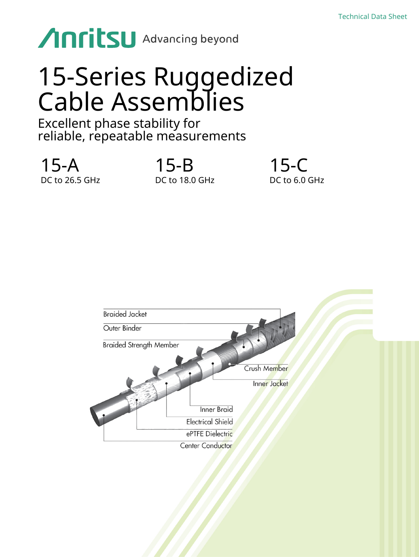# Anritsu Advancing beyond

# 15-Series Ruggedized Cable Assemblies

# Excellent phase stability for reliable, repeatable measurements

15-A DC to 26.5 GHz 15-B DC to 18.0 GHz 15-C DC to 6.0 GHz

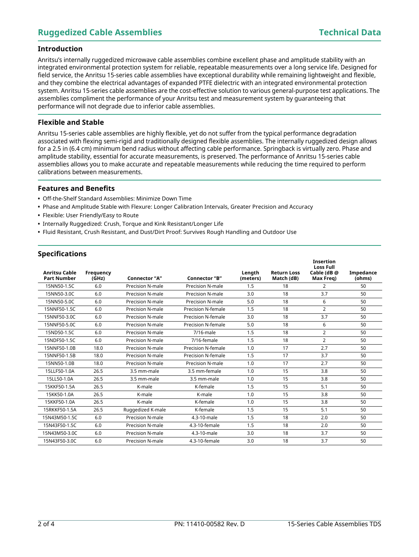## **Ruggedized Cable Assemblies Technical Data**

### **Introduction**

Anritsu's internally ruggedized microwave cable assemblies combine excellent phase and amplitude stability with an integrated environmental protection system for reliable, repeatable measurements over a long service life. Designed for field service, the Anritsu 15-series cable assemblies have exceptional durability while remaining lightweight and flexible, and they combine the electrical advantages of expanded PTFE dielectric with an integrated environmental protection system. Anritsu 15-series cable assemblies are the cost-effective solution to various general-purpose test applications. The assemblies compliment the performance of your Anritsu test and measurement system by guaranteeing that performance will not degrade due to inferior cable assemblies.

### **Flexible and Stable**

Anritsu 15-series cable assemblies are highly flexible, yet do not suffer from the typical performance degradation associated with flexing semi-rigid and traditionally designed flexible assemblies. The internally ruggedized design allows for a 2.5 in (6.4 cm) minimum bend radius without affecting cable performance. Springback is virtually zero. Phase and amplitude stability, essential for accurate measurements, is preserved. The performance of Anritsu 15-series cable assemblies allows you to make accurate and repeatable measurements while reducing the time required to perform calibrations between measurements.

#### **Features and Benefits**

- **•** Off-the-Shelf Standard Assemblies: Minimize Down Time
- **•** Phase and Amplitude Stable with Flexure: Longer Calibration Intervals, Greater Precision and Accuracy
- **•** Flexible: User Friendly/Easy to Route
- **•** Internally Ruggedized: Crush, Torque and Kink Resistant/Longer Life
- **•** Fluid Resistant, Crush Resistant, and Dust/Dirt Proof: Survives Rough Handling and Outdoor Use

### **Specifications**

| <b>Anritsu Cable</b><br><b>Part Number</b> | Frequency<br>(GHz) | <b>Connector "A"</b>    | Connector "B"      | Length<br>(meters) | <b>Return Loss</b><br>Match (dB) | Insertion<br><b>Loss Full</b><br>Cable (dB@<br>Max Freg) | Impedance<br>(ohms) |
|--------------------------------------------|--------------------|-------------------------|--------------------|--------------------|----------------------------------|----------------------------------------------------------|---------------------|
| 15NN50-1.5C                                | 6.0                | Precision N-male        | Precision N-male   | 1.5                | 18                               | $\overline{2}$                                           | 50                  |
| 15NN50-3.0C                                | 6.0                | Precision N-male        | Precision N-male   | 3.0                | 18                               | 3.7                                                      | 50                  |
| 15NN50-5.0C                                | 6.0                | Precision N-male        | Precision N-male   | 5.0                | 18                               | 6                                                        | 50                  |
| 15NNF50-1.5C                               | 6.0                | Precision N-male        | Precision N-female | 1.5                | 18                               | $\overline{2}$                                           | 50                  |
| 15NNF50-3.0C                               | 6.0                | Precision N-male        | Precision N-female | 3.0                | 18                               | 3.7                                                      | 50                  |
| 15NNF50-5.0C                               | 6.0                | Precision N-male        | Precision N-female | 5.0                | 18                               | 6                                                        | 50                  |
| 15ND50-1.5C                                | 6.0                | Precision N-male        | 7/16-male          | 1.5                | 18                               | 2                                                        | 50                  |
| 15NDF50-1.5C                               | 6.0                | Precision N-male        | 7/16-female        | 1.5                | 18                               | $\overline{2}$                                           | 50                  |
| 15NNF50-1.0B                               | 18.0               | Precision N-male        | Precision N-female | 1.0                | 17                               | 2.7                                                      | 50                  |
| 15NNF50-1.5B                               | 18.0               | Precision N-male        | Precision N-female | 1.5                | 17                               | 3.7                                                      | 50                  |
| 15NN50-1.0B                                | 18.0               | Precision N-male        | Precision N-male   | 1.0                | 17                               | 2.7                                                      | 50                  |
| 15LLF50-1.0A                               | 26.5               | 3.5 mm-male             | 3.5 mm-female      | 1.0                | 15                               | 3.8                                                      | 50                  |
| 15LL50-1.0A                                | 26.5               | 3.5 mm-male             | 3.5 mm-male        | 1.0                | 15                               | 3.8                                                      | 50                  |
| 15KKF50-1.5A                               | 26.5               | K-male                  | K-female           | 1.5                | 15                               | 5.1                                                      | 50                  |
| 15KK50-1.0A                                | 26.5               | K-male                  | K-male             | 1.0                | 15                               | 3.8                                                      | 50                  |
| 15KKF50-1.0A                               | 26.5               | K-male                  | K-female           | 1.0                | 15                               | 3.8                                                      | 50                  |
| 15RKKF50-1.5A                              | 26.5               | Ruggedized K-male       | K-female           | 1.5                | 15                               | 5.1                                                      | 50                  |
| 15N43M50-1.5C                              | 6.0                | Precision N-male        | 4.3-10-male        | 1.5                | 18                               | 2.0                                                      | 50                  |
| 15N43F50-1.5C                              | 6.0                | Precision N-male        | 4.3-10-female      | 1.5                | 18                               | 2.0                                                      | 50                  |
| 15N43M50-3.0C                              | 6.0                | Precision N-male        | 4.3-10-male        | 3.0                | 18                               | 3.7                                                      | 50                  |
| 15N43F50-3.0C                              | 6.0                | <b>Precision N-male</b> | 4.3-10-female      | 3.0                | 18                               | 3.7                                                      | 50                  |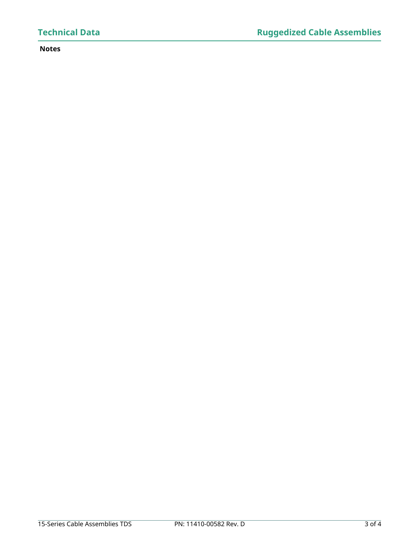### **Notes**